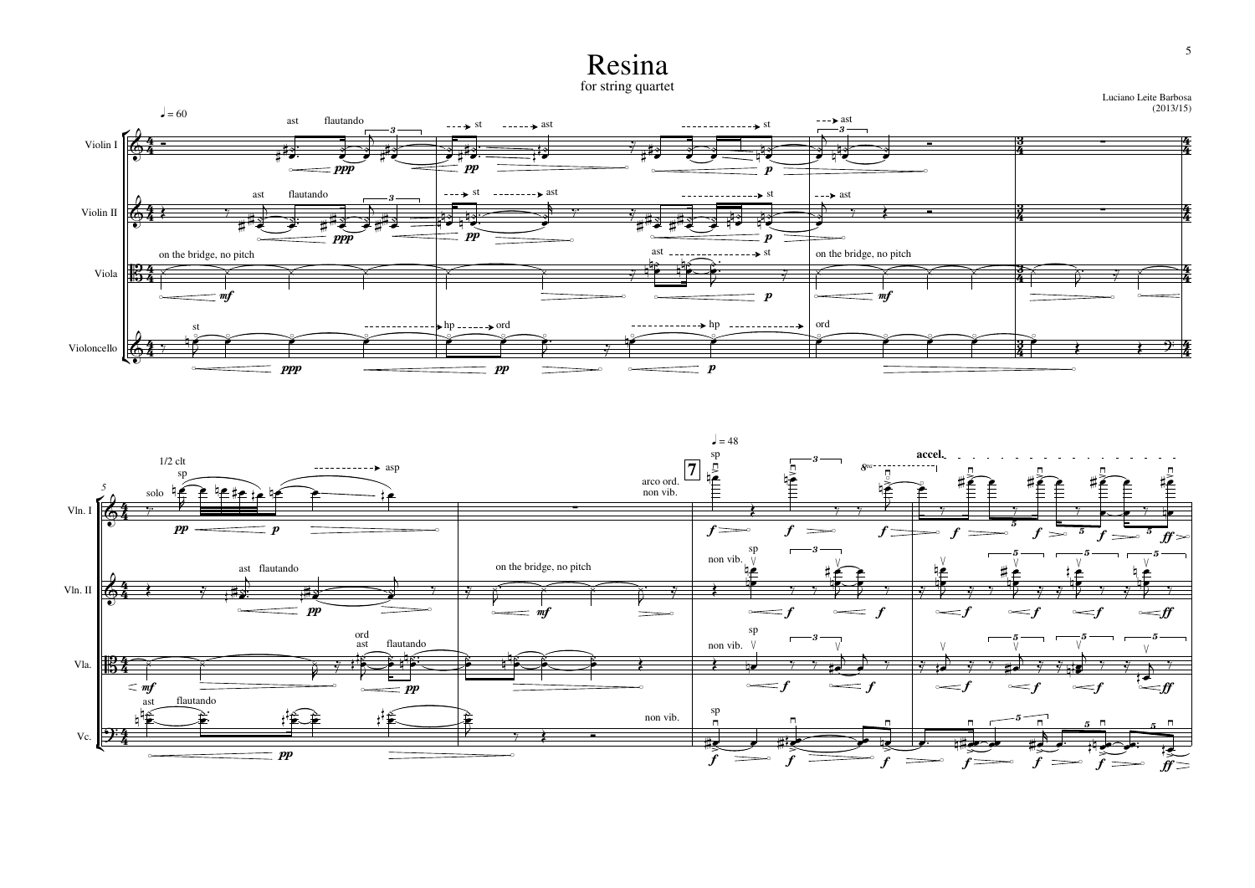## Resina

for string quartet